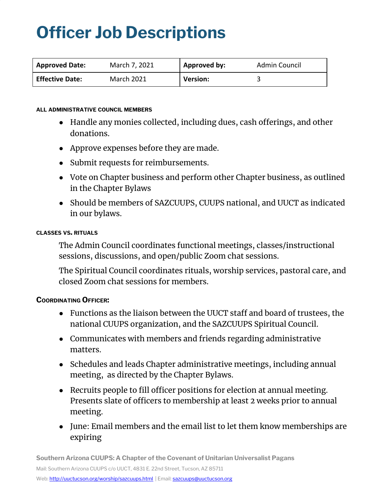# **Officer Job Descriptions**

| <b>Approved Date:</b>  | March 7, 2021     | Approved by:    | Admin Council |
|------------------------|-------------------|-----------------|---------------|
| <b>Effective Date:</b> | <b>March 2021</b> | <b>Version:</b> |               |

#### **ALL ADMINISTRATIVE COUNCIL MEMBERS**

- Handle any monies collected, including dues, cash offerings, and other donations.
- Approve expenses before they are made.
- Submit requests for reimbursements.
- Vote on Chapter business and perform other Chapter business, as outlined in the Chapter Bylaws
- Should be members of SAZCUUPS, CUUPS national, and UUCT as indicated in our bylaws.

#### **CLASSES VS. RITUALS**

The Admin Council coordinates functional meetings, classes/instructional sessions, discussions, and open/public Zoom chat sessions.

The Spiritual Council coordinates rituals, worship services, pastoral care, and closed Zoom chat sessions for members.

### **COORDINATING OFFICER:**

- Functions as the liaison between the UUCT staff and board of trustees, the national CUUPS organization, and the SAZCUUPS Spiritual Council.
- Communicates with members and friends regarding administrative matters.
- Schedules and leads Chapter administrative meetings, including annual meeting, as directed by the Chapter Bylaws.
- Recruits people to fill officer positions for election at annual meeting. Presents slate of officers to membership at least 2 weeks prior to annual meeting.
- June: Email members and the email list to let them know memberships are expiring

**Southern Arizona CUUPS: A Chapter of the Covenant of Unitarian Universalist Pagans**

Mail: Southern Arizona CUUPS c/o UUCT, 4831 E. 22nd Street, Tucson, AZ 85711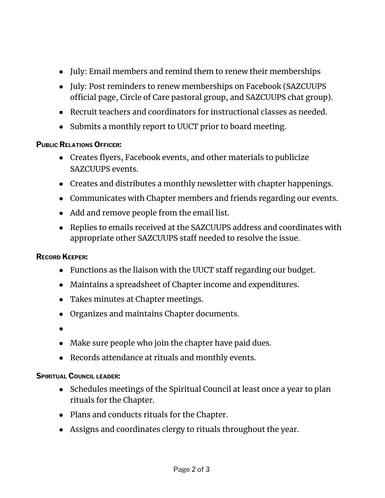- July: Email members and remind them to renew their memberships
- July: Post reminders to renew memberships on Facebook (SAZCUUPS official page, Circle of Care pastoral group, and SAZCUUPS chat group).
- Recruit teachers and coordinators for instructional classes as needed.
- Submits a monthly report to UUCT prior to board meeting.

# **PUBLIC RELATIONS OFFICER:**

- Creates flyers, Facebook events, and other materials to publicize SAZCUUPS events.
- Creates and distributes a monthly newsletter with chapter happenings.
- Communicates with Chapter members and friends regarding our events.
- Add and remove people from the email list.
- Replies to emails received at the SAZCUUPS address and coordinates with appropriate other SAZCUUPS staff needed to resolve the issue.

## **RECORD KEEPER:**

- Functions as the liaison with the UUCT staff regarding our budget.
- Maintains a spreadsheet of Chapter income and expenditures.
- Takes minutes at Chapter meetings.
- Organizes and maintains Chapter documents.
- ●
- Make sure people who join the chapter have paid dues.
- Records attendance at rituals and monthly events.

## **SPIRITUAL COUNCIL LEADER:**

- Schedules meetings of the Spiritual Council at least once a year to plan rituals for the Chapter.
- Plans and conducts rituals for the Chapter.
- Assigns and coordinates clergy to rituals throughout the year.